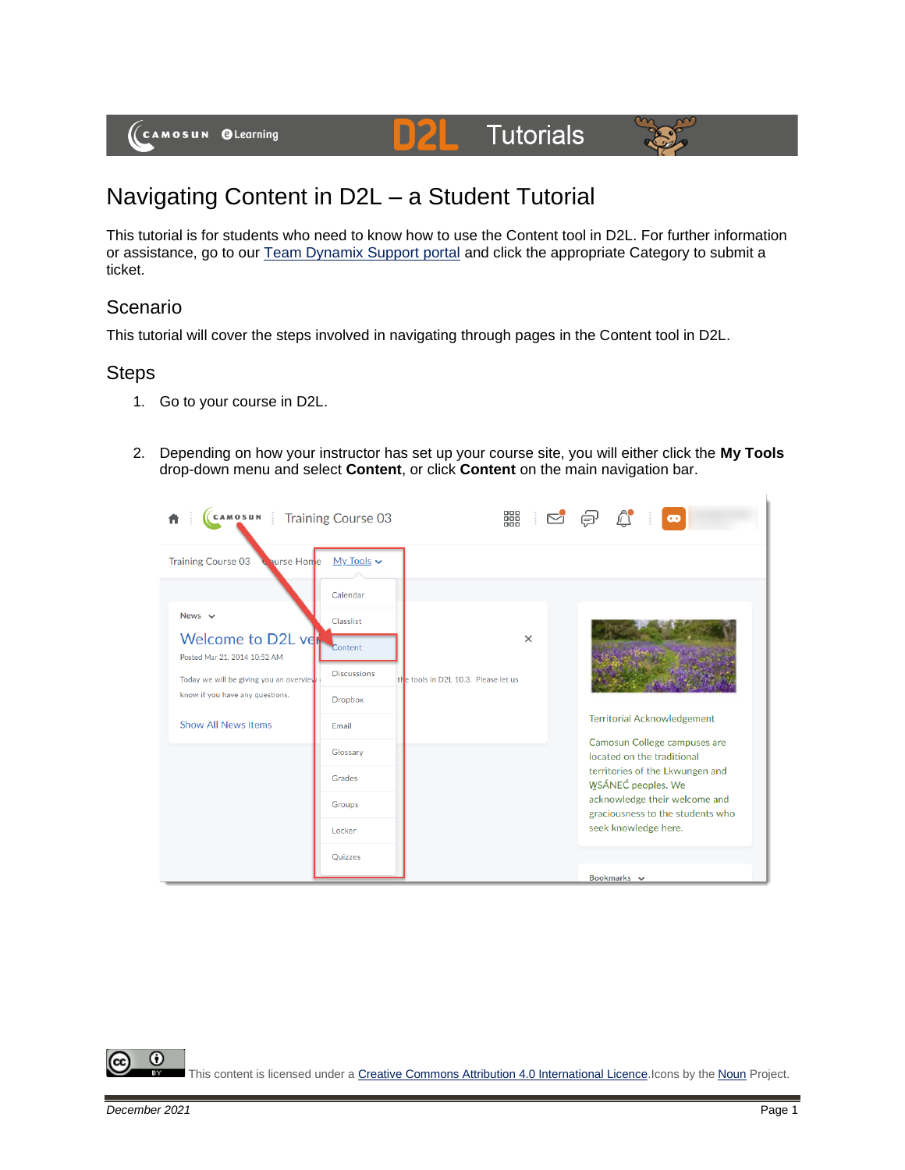

## Navigating Content in D2L – a Student Tutorial

This tutorial is for students who need to know how to use the Content tool in D2L. For further information or assistance, go to our **Team Dynamix Support portal** and click the appropriate Category to submit a ticket.

## Scenario

This tutorial will cover the steps involved in navigating through pages in the Content tool in D2L.

## Steps

- 1. Go to your course in D2L.
- 2. Depending on how your instructor has set up your course site, you will either click the **My Tools** drop-down menu and select **Content**, or click **Content** on the main navigation bar.



This content is licensed under [a Creative Commons Attribution 4.0 International Licence.I](https://creativecommons.org/licenses/by/4.0/)cons by the [Noun](https://creativecommons.org/website-icons/) Project.

⋒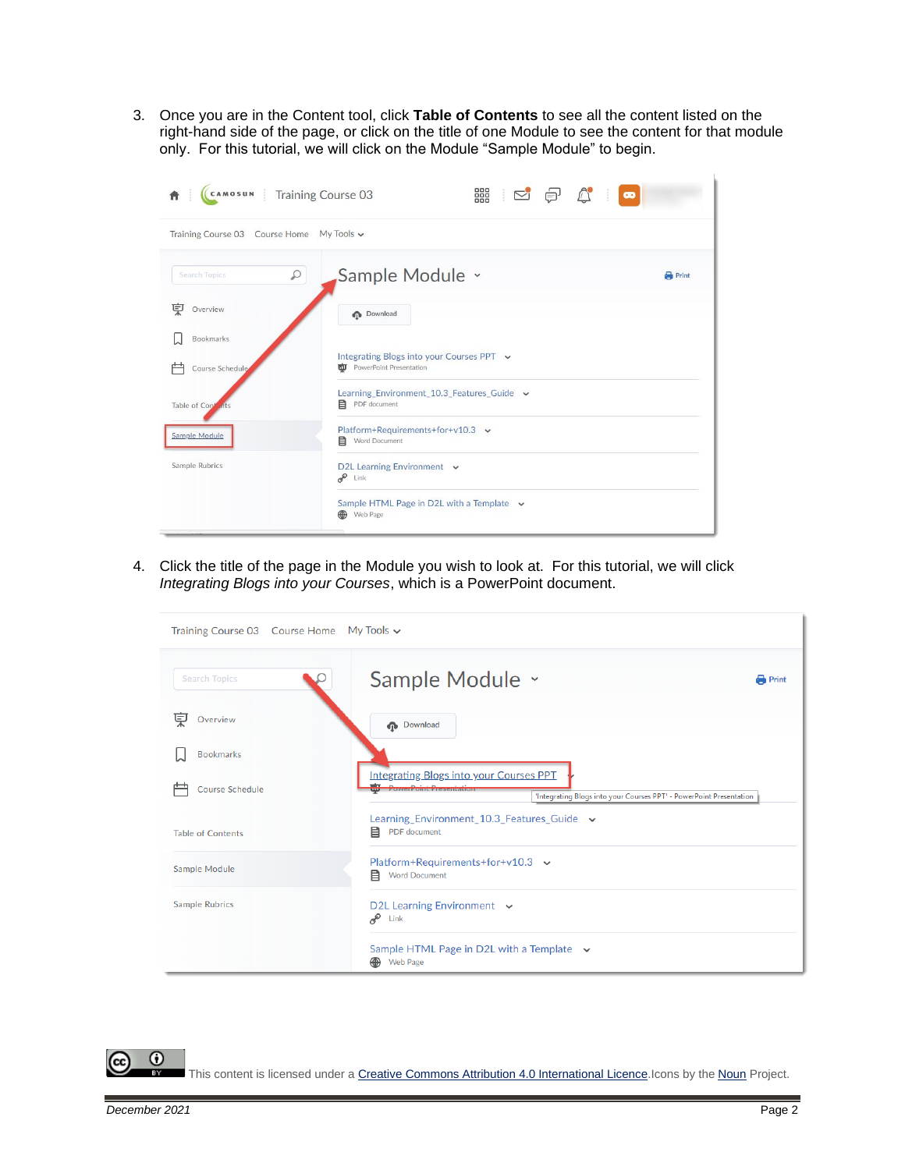3. Once you are in the Content tool, click **Table of Contents** to see all the content listed on the right-hand side of the page, or click on the title of one Module to see the content for that module only. For this tutorial, we will click on the Module "Sample Module" to begin.

| CAMOSUN   Training Course 03              | 器 2<br>$\bigcap_{i=1}^{\infty}$<br>€<br>$\bullet$                              |              |  |  |
|-------------------------------------------|--------------------------------------------------------------------------------|--------------|--|--|
| Training Course 03 Course Home My Tools v |                                                                                |              |  |  |
| $\varphi$<br>Search Topics                | Sample Module ~                                                                | <b>Print</b> |  |  |
| 叓<br>Overview                             | <b>Download</b>                                                                |              |  |  |
| Bookmarks                                 |                                                                                |              |  |  |
| Course Schedule                           | Integrating Blogs into your Courses PPT v<br><b>TO</b> PowerPoint Presentation |              |  |  |
| Table of Cont                             | Learning_Environment_10.3_Features_Guide v<br>目 PDF document                   |              |  |  |
| Sample Module                             | Platform+Requirements+for+v10.3 $\sim$<br>Word Document<br>目                   |              |  |  |
| Sample Rubrics                            | D2L Learning Environment v<br>$e^{\theta}$ Link                                |              |  |  |
|                                           | Sample HTML Page in D2L with a Template v<br>⊕<br>Web Page                     |              |  |  |

4. Click the title of the page in the Module you wish to look at. For this tutorial, we will click *Integrating Blogs into your Courses*, which is a PowerPoint document.

| Training Course 03 Course Home My Tools v |                                                                                                                                                                   |              |  |
|-------------------------------------------|-------------------------------------------------------------------------------------------------------------------------------------------------------------------|--------------|--|
| <b>Search Topics</b>                      | Sample Module ×                                                                                                                                                   | <b>Print</b> |  |
| 덫<br>Overview                             | <b>Download</b>                                                                                                                                                   |              |  |
| <b>Bookmarks</b>                          |                                                                                                                                                                   |              |  |
| <b>Course Schedule</b>                    | <b>Integrating Blogs into your Courses PPT</b><br><b>EXPANDED AVIOLENCE AND PRODUCTIVE</b><br>'Integrating Blogs into your Courses PPT' - PowerPoint Presentation |              |  |
| <b>Table of Contents</b>                  | Learning_Environment_10.3_Features_Guide v<br>目<br>PDF document                                                                                                   |              |  |
| Sample Module                             | Platform+Requirements+for+v10.3 $\sim$<br>目<br><b>Word Document</b>                                                                                               |              |  |
| <b>Sample Rubrics</b>                     | D2L Learning Environment $\sim$<br>æ<br>Link                                                                                                                      |              |  |
|                                           | Sample HTML Page in D2L with a Template $\sim$<br>⊕<br><b>Web Page</b>                                                                                            |              |  |

This content is licensed under [a Creative Commons Attribution 4.0 International Licence.I](https://creativecommons.org/licenses/by/4.0/)cons by the [Noun](https://creativecommons.org/website-icons/) Project.

 $\odot$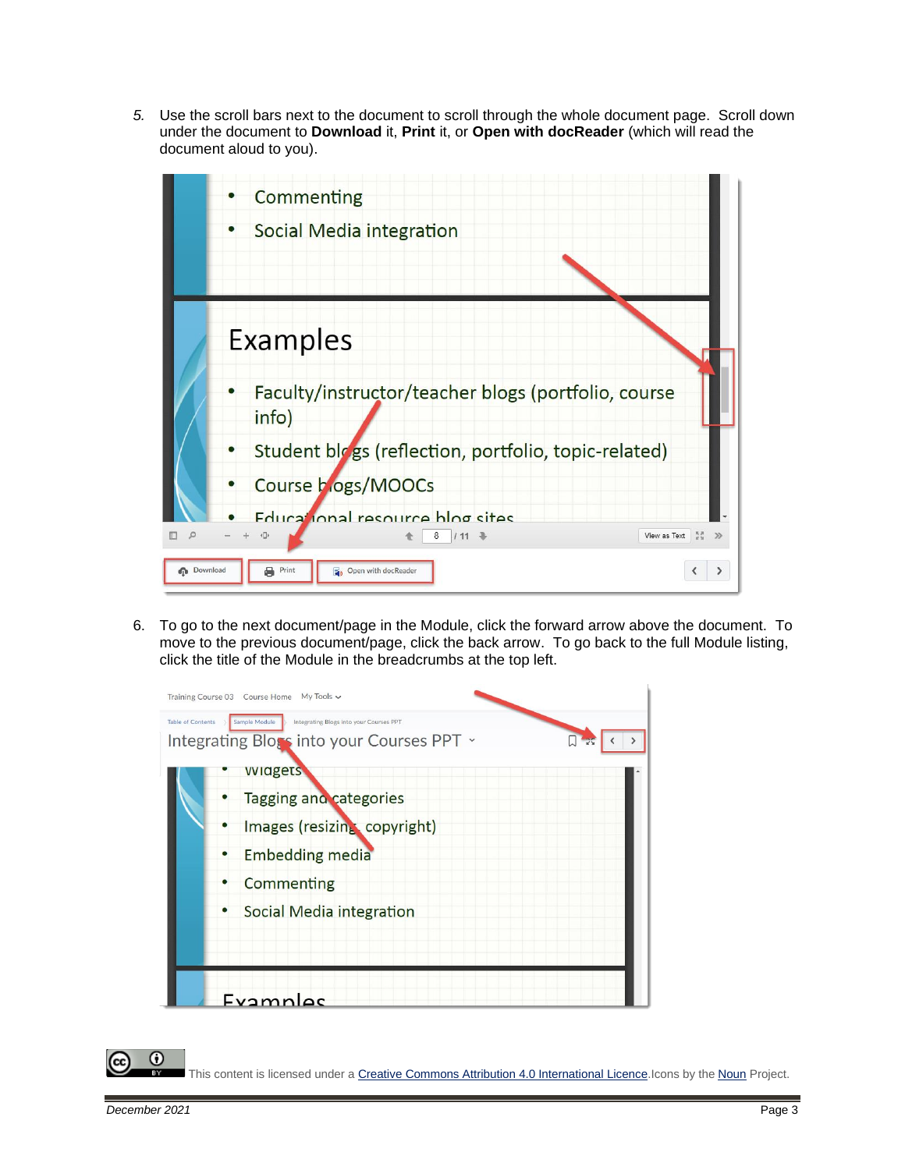*5.* Use the scroll bars next to the document to scroll through the whole document page. Scroll down under the document to **Download** it, **Print** it, or **Open with docReader** (which will read the document aloud to you).



6. To go to the next document/page in the Module, click the forward arrow above the document. To move to the previous document/page, click the back arrow. To go back to the full Module listing, click the title of the Module in the breadcrumbs at the top left.



This content is licensed under [a Creative Commons Attribution 4.0 International Licence.I](https://creativecommons.org/licenses/by/4.0/)cons by the [Noun](https://creativecommons.org/website-icons/) Project.

Œ